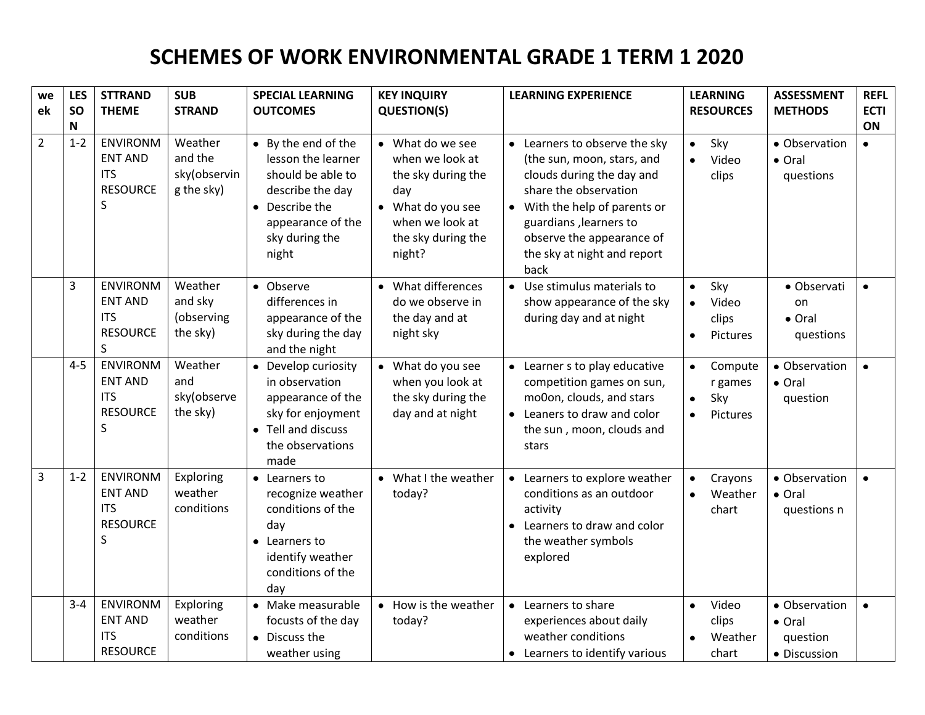## **SCHEMES OF WORK ENVIRONMENTAL GRADE 1 TERM 1 2020**

| we             | <b>LES</b>   | <b>STTRAND</b>                                                          | <b>SUB</b>                                       | <b>SPECIAL LEARNING</b>                                                                                                                              | <b>KEY INQUIRY</b>                                                                                                                       | <b>LEARNING EXPERIENCE</b>                                                                                                                                                                                                                     | <b>LEARNING</b>                                                              | <b>ASSESSMENT</b>                                   | <b>REFL</b>     |
|----------------|--------------|-------------------------------------------------------------------------|--------------------------------------------------|------------------------------------------------------------------------------------------------------------------------------------------------------|------------------------------------------------------------------------------------------------------------------------------------------|------------------------------------------------------------------------------------------------------------------------------------------------------------------------------------------------------------------------------------------------|------------------------------------------------------------------------------|-----------------------------------------------------|-----------------|
| ek             | <b>SO</b>    | <b>THEME</b>                                                            | <b>STRAND</b>                                    | <b>OUTCOMES</b>                                                                                                                                      | <b>QUESTION(S)</b>                                                                                                                       |                                                                                                                                                                                                                                                | <b>RESOURCES</b>                                                             | <b>METHODS</b>                                      | <b>ECTI</b>     |
| $\overline{2}$ | N<br>$1 - 2$ | <b>ENVIRONM</b><br><b>ENT AND</b><br><b>ITS</b><br><b>RESOURCE</b><br>S | Weather<br>and the<br>sky(observin<br>g the sky) | • By the end of the<br>lesson the learner<br>should be able to<br>describe the day<br>• Describe the<br>appearance of the<br>sky during the<br>night | • What do we see<br>when we look at<br>the sky during the<br>day<br>• What do you see<br>when we look at<br>the sky during the<br>night? | • Learners to observe the sky<br>(the sun, moon, stars, and<br>clouds during the day and<br>share the observation<br>With the help of parents or<br>guardians, learners to<br>observe the appearance of<br>the sky at night and report<br>back | Sky<br>$\bullet$<br>Video<br>$\bullet$<br>clips                              | • Observation<br>• Oral<br>questions                | ON<br>$\bullet$ |
|                | 3            | <b>ENVIRONM</b><br><b>ENT AND</b><br><b>ITS</b><br><b>RESOURCE</b><br>S | Weather<br>and sky<br>(observing<br>the sky)     | • Observe<br>differences in<br>appearance of the<br>sky during the day<br>and the night                                                              | • What differences<br>do we observe in<br>the day and at<br>night sky                                                                    | Use stimulus materials to<br>$\bullet$<br>show appearance of the sky<br>during day and at night                                                                                                                                                | Sky<br>$\bullet$<br>Video<br>clips<br>Pictures<br>$\bullet$                  | • Observati<br>on<br>• Oral<br>questions            | $\bullet$       |
|                | $4 - 5$      | <b>ENVIRONM</b><br><b>ENT AND</b><br><b>ITS</b><br><b>RESOURCE</b><br>S | Weather<br>and<br>sky(observe<br>the sky)        | • Develop curiosity<br>in observation<br>appearance of the<br>sky for enjoyment<br>• Tell and discuss<br>the observations<br>made                    | • What do you see<br>when you look at<br>the sky during the<br>day and at night                                                          | • Learner s to play educative<br>competition games on sun,<br>mo0on, clouds, and stars<br>Leaners to draw and color<br>the sun, moon, clouds and<br>stars                                                                                      | Compute<br>$\bullet$<br>r games<br>Sky<br>$\bullet$<br>Pictures<br>$\bullet$ | • Observation<br>• Oral<br>question                 |                 |
| 3              | $1 - 2$      | <b>ENVIRONM</b><br><b>ENT AND</b><br><b>ITS</b><br><b>RESOURCE</b><br>S | Exploring<br>weather<br>conditions               | • Learners to<br>recognize weather<br>conditions of the<br>day<br>• Learners to<br>identify weather<br>conditions of the<br>day                      | • What I the weather<br>today?                                                                                                           | Learners to explore weather<br>conditions as an outdoor<br>activity<br>Learners to draw and color<br>the weather symbols<br>explored                                                                                                           | Crayons<br>$\bullet$<br>Weather<br>$\bullet$<br>chart                        | • Observation<br>$\bullet$ Oral<br>questions n      |                 |
|                | $3 - 4$      | <b>ENVIRONM</b><br><b>ENT AND</b><br><b>ITS</b><br><b>RESOURCE</b>      | Exploring<br>weather<br>conditions               | • Make measurable<br>focusts of the day<br>• Discuss the<br>weather using                                                                            | • How is the weather<br>today?                                                                                                           | • Learners to share<br>experiences about daily<br>weather conditions<br>• Learners to identify various                                                                                                                                         | Video<br>$\bullet$<br>clips<br>Weather<br>chart                              | · Observation<br>• Oral<br>question<br>· Discussion | $\bullet$       |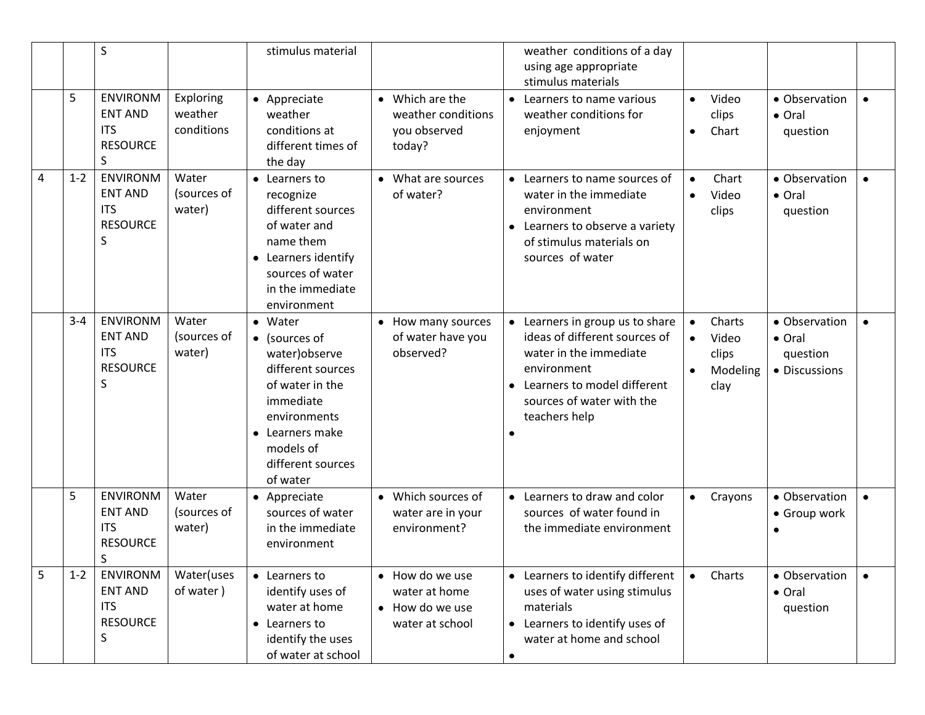|   |         | $\sf S$                                                                 |                                    | stimulus material                                                                                                                                                                        |                                                                        | weather conditions of a day<br>using age appropriate<br>stimulus materials                                                                                                             |                                                                        |                                                      |           |
|---|---------|-------------------------------------------------------------------------|------------------------------------|------------------------------------------------------------------------------------------------------------------------------------------------------------------------------------------|------------------------------------------------------------------------|----------------------------------------------------------------------------------------------------------------------------------------------------------------------------------------|------------------------------------------------------------------------|------------------------------------------------------|-----------|
|   | 5       | <b>ENVIRONM</b><br><b>ENT AND</b><br><b>ITS</b><br><b>RESOURCE</b><br>S | Exploring<br>weather<br>conditions | • Appreciate<br>weather<br>conditions at<br>different times of<br>the day                                                                                                                | • Which are the<br>weather conditions<br>you observed<br>today?        | $\bullet$<br>Learners to name various<br>weather conditions for<br>enjoyment                                                                                                           | Video<br>$\bullet$<br>clips<br>Chart<br>$\bullet$                      | • Observation<br>• Oral<br>question                  |           |
| 4 | $1 - 2$ | <b>ENVIRONM</b><br><b>ENT AND</b><br><b>ITS</b><br><b>RESOURCE</b><br>S | Water<br>(sources of<br>water)     | • Learners to<br>recognize<br>different sources<br>of water and<br>name them<br>• Learners identify<br>sources of water<br>in the immediate<br>environment                               | • What are sources<br>of water?                                        | $\bullet$<br>Learners to name sources of<br>water in the immediate<br>environment<br>Learners to observe a variety<br>$\bullet$<br>of stimulus materials on<br>sources of water        | Chart<br>$\bullet$<br>Video<br>$\bullet$<br>clips                      | • Observation<br>• Oral<br>question                  | $\bullet$ |
|   | $3 - 4$ | <b>ENVIRONM</b><br><b>ENT AND</b><br><b>ITS</b><br><b>RESOURCE</b><br>S | Water<br>(sources of<br>water)     | • Water<br>$\bullet$ (sources of<br>water) observe<br>different sources<br>of water in the<br>immediate<br>environments<br>• Learners make<br>models of<br>different sources<br>of water | • How many sources<br>of water have you<br>observed?                   | • Learners in group us to share<br>ideas of different sources of<br>water in the immediate<br>environment<br>Learners to model different<br>sources of water with the<br>teachers help | Charts<br>$\bullet$<br>Video<br>$\bullet$<br>clips<br>Modeling<br>clay | • Observation<br>• Oral<br>question<br>• Discussions |           |
|   | 5       | <b>ENVIRONM</b><br><b>ENT AND</b><br><b>ITS</b><br><b>RESOURCE</b><br>S | Water<br>(sources of<br>water)     | • Appreciate<br>sources of water<br>in the immediate<br>environment                                                                                                                      | • Which sources of<br>water are in your<br>environment?                | • Learners to draw and color<br>sources of water found in<br>the immediate environment                                                                                                 | Crayons<br>$\bullet$                                                   | • Observation<br>• Group work                        | $\bullet$ |
| 5 | $1 - 2$ | <b>ENVIRONM</b><br><b>ENT AND</b><br><b>ITS</b><br><b>RESOURCE</b><br>S | Water(uses<br>of water)            | • Learners to<br>identify uses of<br>water at home<br>• Learners to<br>identify the uses<br>of water at school                                                                           | • How do we use<br>water at home<br>• How do we use<br>water at school | • Learners to identify different<br>uses of water using stimulus<br>materials<br>• Learners to identify uses of<br>water at home and school<br>$\bullet$                               | Charts<br>$\bullet$                                                    | • Observation<br>• Oral<br>question                  | $\bullet$ |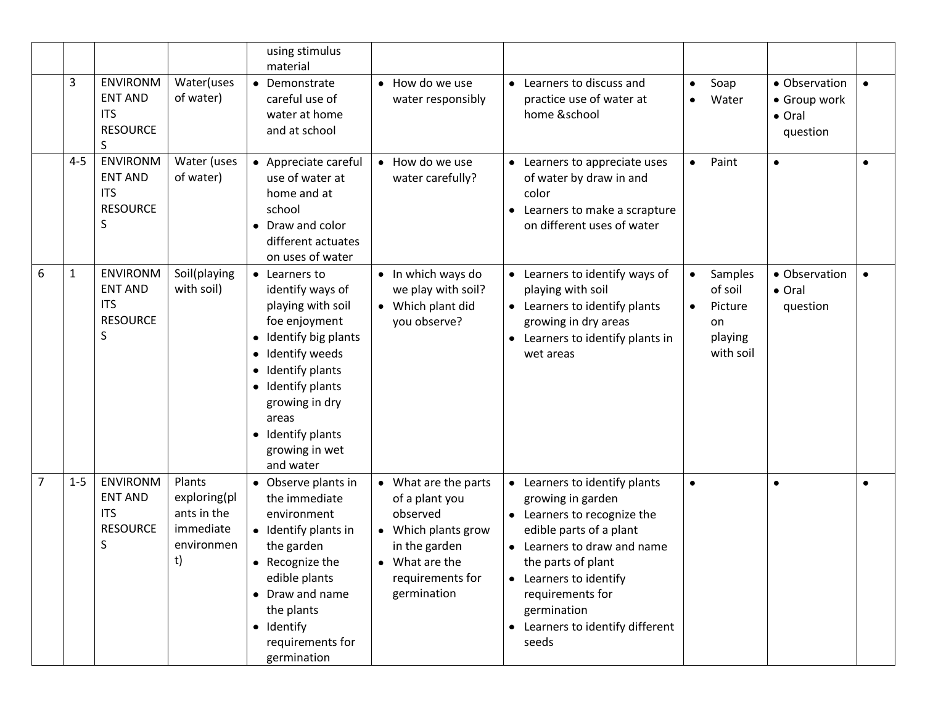|                |              |                                                                         |                                                                        | using stimulus<br>material                                                                                                                                                                                                                                                |                                                                                                                                                 |                                                                                                                                                                                                                                                                                      |           |                                                             |                                                     |           |
|----------------|--------------|-------------------------------------------------------------------------|------------------------------------------------------------------------|---------------------------------------------------------------------------------------------------------------------------------------------------------------------------------------------------------------------------------------------------------------------------|-------------------------------------------------------------------------------------------------------------------------------------------------|--------------------------------------------------------------------------------------------------------------------------------------------------------------------------------------------------------------------------------------------------------------------------------------|-----------|-------------------------------------------------------------|-----------------------------------------------------|-----------|
|                | 3            | <b>ENVIRONM</b><br><b>ENT AND</b><br><b>ITS</b><br><b>RESOURCE</b><br>S | Water(uses<br>of water)                                                | • Demonstrate<br>careful use of<br>water at home<br>and at school                                                                                                                                                                                                         | • How do we use<br>water responsibly                                                                                                            | Learners to discuss and<br>practice use of water at<br>home &school                                                                                                                                                                                                                  | $\bullet$ | Soap<br>Water                                               | • Observation<br>• Group work<br>• Oral<br>question | $\bullet$ |
|                | $4 - 5$      | <b>ENVIRONM</b><br><b>ENT AND</b><br><b>ITS</b><br><b>RESOURCE</b><br>S | Water (uses<br>of water)                                               | • Appreciate careful<br>use of water at<br>home and at<br>school<br>Draw and color<br>$\bullet$<br>different actuates<br>on uses of water                                                                                                                                 | • How do we use<br>water carefully?                                                                                                             | Learners to appreciate uses<br>of water by draw in and<br>color<br>Learners to make a scrapture<br>on different uses of water                                                                                                                                                        | $\bullet$ | Paint                                                       | $\bullet$                                           | $\bullet$ |
| 6              | $\mathbf{1}$ | <b>ENVIRONM</b><br><b>ENT AND</b><br><b>ITS</b><br><b>RESOURCE</b><br>S | Soil(playing<br>with soil)                                             | • Learners to<br>identify ways of<br>playing with soil<br>foe enjoyment<br>Identify big plants<br>٠<br>Identify weeds<br>٠<br>Identify plants<br>$\bullet$<br>Identify plants<br>$\bullet$<br>growing in dry<br>areas<br>• Identify plants<br>growing in wet<br>and water | • In which ways do<br>we play with soil?<br>• Which plant did<br>you observe?                                                                   | Learners to identify ways of<br>playing with soil<br>Learners to identify plants<br>growing in dry areas<br>Learners to identify plants in<br>$\bullet$<br>wet areas                                                                                                                 | $\bullet$ | Samples<br>of soil<br>Picture<br>on<br>playing<br>with soil | • Observation<br>• Oral<br>question                 | $\bullet$ |
| $\overline{7}$ | $1 - 5$      | <b>ENVIRONM</b><br><b>ENT AND</b><br><b>ITS</b><br><b>RESOURCE</b><br>S | Plants<br>exploring(pl<br>ants in the<br>immediate<br>environmen<br>t) | • Observe plants in<br>the immediate<br>environment<br>• Identify plants in<br>the garden<br>• Recognize the<br>edible plants<br>• Draw and name<br>the plants<br>• Identify<br>requirements for<br>germination                                                           | • What are the parts<br>of a plant you<br>observed<br>• Which plants grow<br>in the garden<br>• What are the<br>requirements for<br>germination | • Learners to identify plants<br>growing in garden<br>Learners to recognize the<br>$\bullet$<br>edible parts of a plant<br>Learners to draw and name<br>the parts of plant<br>• Learners to identify<br>requirements for<br>germination<br>• Learners to identify different<br>seeds | $\bullet$ |                                                             |                                                     | $\bullet$ |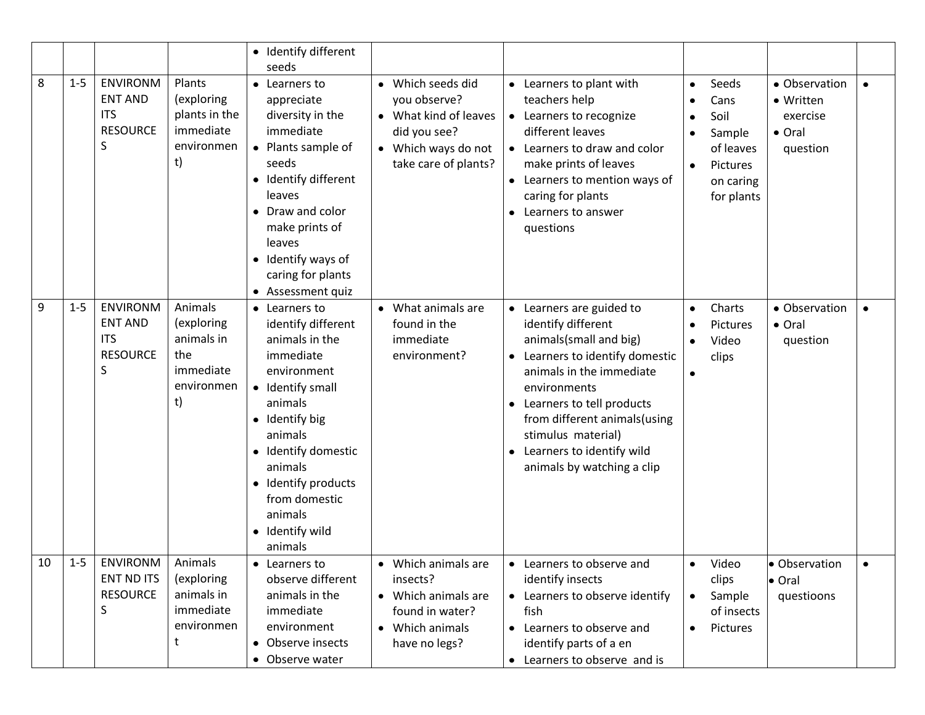|    |         |                                                                         |                                                                             | • Identify different<br>seeds                                                                                                                                                                                                                                    |                                                                                                                           |                                                                                                                                                                                                                                                                                                     |                                                                                                               |                                                              |  |
|----|---------|-------------------------------------------------------------------------|-----------------------------------------------------------------------------|------------------------------------------------------------------------------------------------------------------------------------------------------------------------------------------------------------------------------------------------------------------|---------------------------------------------------------------------------------------------------------------------------|-----------------------------------------------------------------------------------------------------------------------------------------------------------------------------------------------------------------------------------------------------------------------------------------------------|---------------------------------------------------------------------------------------------------------------|--------------------------------------------------------------|--|
| 8  | $1 - 5$ | <b>ENVIRONM</b><br><b>ENT AND</b><br><b>ITS</b><br><b>RESOURCE</b><br>S | Plants<br>(exploring<br>plants in the<br>immediate<br>environmen<br>t)      | • Learners to<br>appreciate<br>diversity in the<br>immediate<br>• Plants sample of<br>seeds<br>• Identify different<br>leaves<br>• Draw and color<br>make prints of<br>leaves<br>• Identify ways of<br>caring for plants<br>• Assessment quiz                    | • Which seeds did<br>you observe?<br>• What kind of leaves<br>did you see?<br>• Which ways do not<br>take care of plants? | • Learners to plant with<br>teachers help<br>Learners to recognize<br>$\bullet$<br>different leaves<br>• Learners to draw and color<br>make prints of leaves<br>• Learners to mention ways of<br>caring for plants<br>Learners to answer<br>$\bullet$<br>questions                                  | Seeds<br>$\bullet$<br>Cans<br>Soil<br>Sample<br>of leaves<br>Pictures<br>$\bullet$<br>on caring<br>for plants | • Observation<br>• Written<br>exercise<br>• Oral<br>question |  |
| 9  | $1 - 5$ | <b>ENVIRONM</b><br><b>ENT AND</b><br><b>ITS</b><br><b>RESOURCE</b><br>S | Animals<br>(exploring<br>animals in<br>the<br>immediate<br>environmen<br>t) | • Learners to<br>identify different<br>animals in the<br>immediate<br>environment<br>• Identify small<br>animals<br>• Identify big<br>animals<br>• Identify domestic<br>animals<br>• Identify products<br>from domestic<br>animals<br>• Identify wild<br>animals | • What animals are<br>found in the<br>immediate<br>environment?                                                           | • Learners are guided to<br>identify different<br>animals(small and big)<br>Learners to identify domestic<br>animals in the immediate<br>environments<br>Learners to tell products<br>from different animals(using<br>stimulus material)<br>Learners to identify wild<br>animals by watching a clip | Charts<br>$\bullet$<br>Pictures<br>Video<br>$\bullet$<br>clips                                                | • Observation<br>• Oral<br>question                          |  |
| 10 | $1 - 5$ | <b>ENVIRONM</b><br><b>ENT ND ITS</b><br><b>RESOURCE</b><br>S            | Animals<br>(exploring<br>animals in<br>immediate<br>environmen<br>t         | • Learners to<br>observe different<br>animals in the<br>immediate<br>environment<br>• Observe insects<br>• Observe water                                                                                                                                         | Which animals are<br>insects?<br>• Which animals are<br>found in water?<br>• Which animals<br>have no legs?               | • Learners to observe and<br>identify insects<br>• Learners to observe identify<br>fish<br>Learners to observe and<br>identify parts of a en<br>• Learners to observe and is                                                                                                                        | Video<br>$\bullet$<br>clips<br>Sample<br>$\bullet$<br>of insects<br>Pictures                                  | · Observation<br>• Oral<br>questioons                        |  |